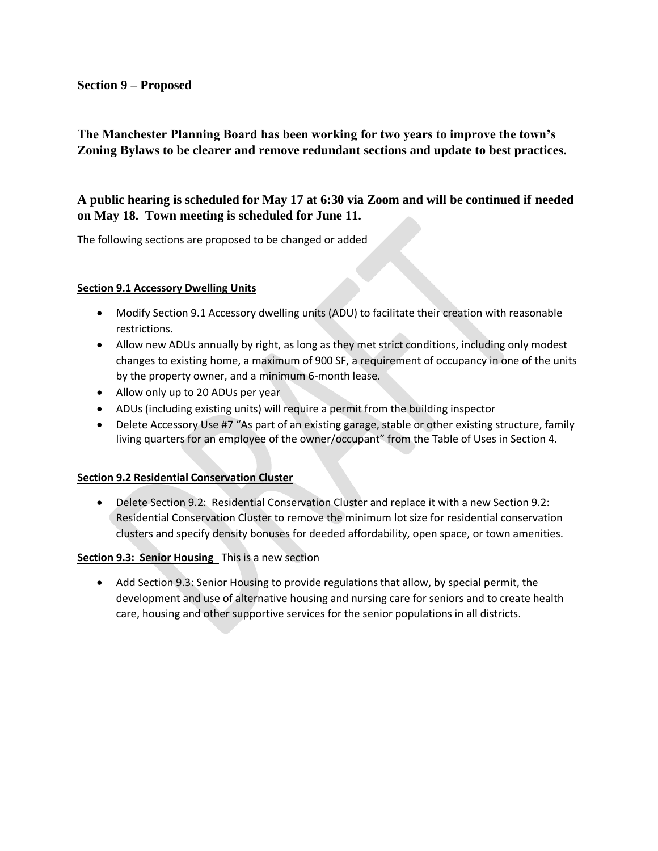#### **Section 9 – Proposed**

## **The Manchester Planning Board has been working for two years to improve the town's Zoning Bylaws to be clearer and remove redundant sections and update to best practices.**

## **A public hearing is scheduled for May 17 at 6:30 via Zoom and will be continued if needed on May 18. Town meeting is scheduled for June 11.**

The following sections are proposed to be changed or added

#### **Section 9.1 Accessory Dwelling Units**

- Modify Section 9.1 Accessory dwelling units (ADU) to facilitate their creation with reasonable restrictions.
- Allow new ADUs annually by right, as long as they met strict conditions, including only modest changes to existing home, a maximum of 900 SF, a requirement of occupancy in one of the units by the property owner, and a minimum 6-month lease.
- Allow only up to 20 ADUs per year
- ADUs (including existing units) will require a permit from the building inspector
- Delete Accessory Use #7 "As part of an existing garage, stable or other existing structure, family living quarters for an employee of the owner/occupant" from the Table of Uses in Section 4.

#### **Section 9.2 Residential Conservation Cluster**

• Delete Section 9.2: Residential Conservation Cluster and replace it with a new Section 9.2: Residential Conservation Cluster to remove the minimum lot size for residential conservation clusters and specify density bonuses for deeded affordability, open space, or town amenities.

#### **Section 9.3: Senior Housing** This is a new section

• Add Section 9.3: Senior Housing to provide regulations that allow, by special permit, the development and use of alternative housing and nursing care for seniors and to create health care, housing and other supportive services for the senior populations in all districts.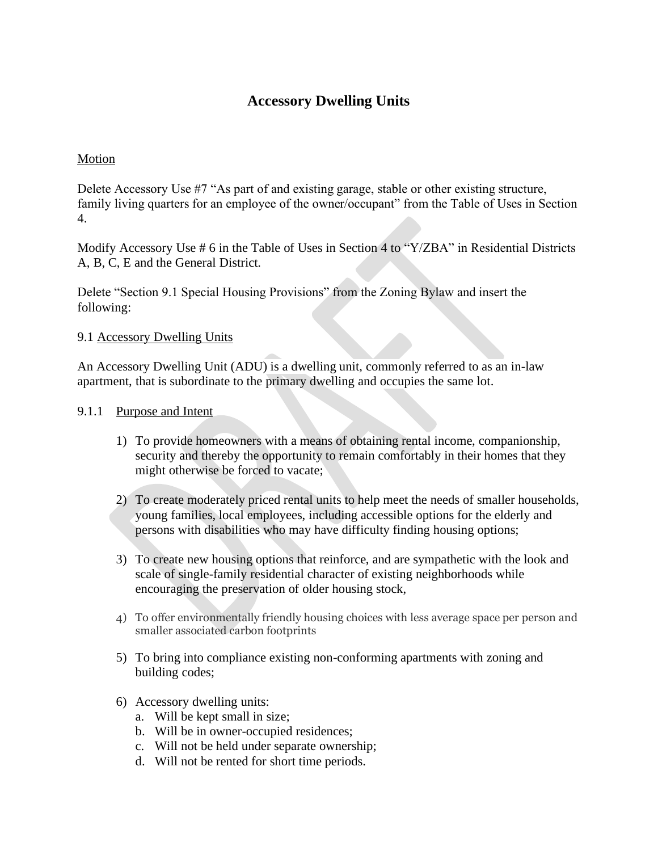# **Accessory Dwelling Units**

## Motion

Delete Accessory Use #7 "As part of and existing garage, stable or other existing structure, family living quarters for an employee of the owner/occupant" from the Table of Uses in Section 4.

Modify Accessory Use # 6 in the Table of Uses in Section 4 to "Y/ZBA" in Residential Districts A, B, C, E and the General District.

Delete "Section 9.1 Special Housing Provisions" from the Zoning Bylaw and insert the following:

## 9.1 Accessory Dwelling Units

An Accessory Dwelling Unit (ADU) is a dwelling unit, commonly referred to as an in-law apartment, that is subordinate to the primary dwelling and occupies the same lot.

## 9.1.1 Purpose and Intent

- 1) To provide homeowners with a means of obtaining rental income, companionship, security and thereby the opportunity to remain comfortably in their homes that they might otherwise be forced to vacate;
- 2) To create moderately priced rental units to help meet the needs of smaller households, young families, local employees, including accessible options for the elderly and persons with disabilities who may have difficulty finding housing options;
- 3) To create new housing options that reinforce, and are sympathetic with the look and scale of single-family residential character of existing neighborhoods while encouraging the preservation of older housing stock,
- 4) To offer environmentally friendly housing choices with less average space per person and smaller associated carbon footprints
- 5) To bring into compliance existing non-conforming apartments with zoning and building codes;
- 6) Accessory dwelling units:
	- a. Will be kept small in size;
	- b. Will be in owner-occupied residences;
	- c. Will not be held under separate ownership;
	- d. Will not be rented for short time periods.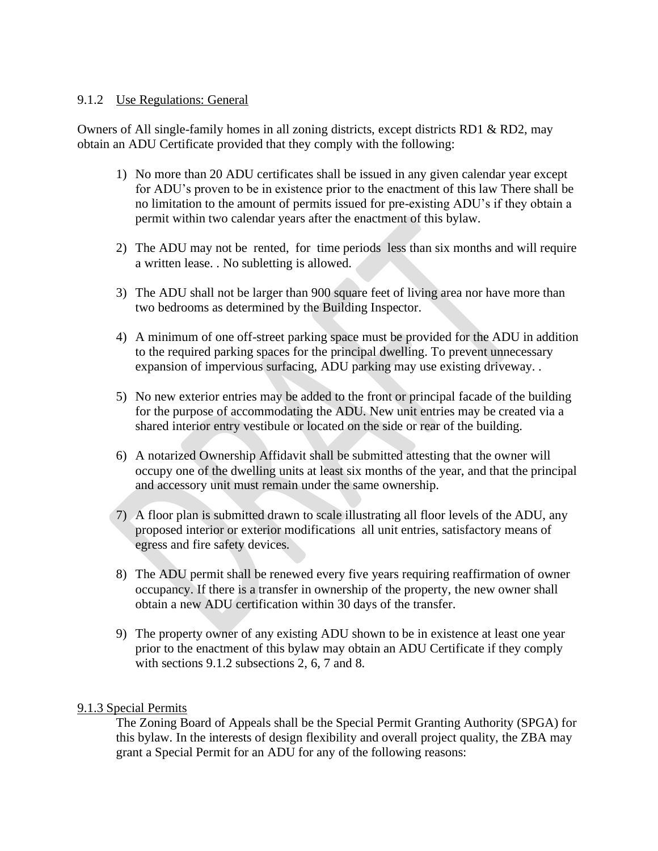### 9.1.2 Use Regulations: General

Owners of All single-family homes in all zoning districts, except districts RD1 & RD2, may obtain an ADU Certificate provided that they comply with the following:

- 1) No more than 20 ADU certificates shall be issued in any given calendar year except for ADU's proven to be in existence prior to the enactment of this law There shall be no limitation to the amount of permits issued for pre-existing ADU's if they obtain a permit within two calendar years after the enactment of this bylaw.
- 2) The ADU may not be rented, for time periods less than six months and will require a written lease. . No subletting is allowed.
- 3) The ADU shall not be larger than 900 square feet of living area nor have more than two bedrooms as determined by the Building Inspector.
- 4) A minimum of one off-street parking space must be provided for the ADU in addition to the required parking spaces for the principal dwelling. To prevent unnecessary expansion of impervious surfacing, ADU parking may use existing driveway. .
- 5) No new exterior entries may be added to the front or principal facade of the building for the purpose of accommodating the ADU. New unit entries may be created via a shared interior entry vestibule or located on the side or rear of the building.
- 6) A notarized Ownership Affidavit shall be submitted attesting that the owner will occupy one of the dwelling units at least six months of the year, and that the principal and accessory unit must remain under the same ownership.
- 7) A floor plan is submitted drawn to scale illustrating all floor levels of the ADU, any proposed interior or exterior modifications all unit entries, satisfactory means of egress and fire safety devices.
- 8) The ADU permit shall be renewed every five years requiring reaffirmation of owner occupancy. If there is a transfer in ownership of the property, the new owner shall obtain a new ADU certification within 30 days of the transfer.
- 9) The property owner of any existing ADU shown to be in existence at least one year prior to the enactment of this bylaw may obtain an ADU Certificate if they comply with sections 9.1.2 subsections 2, 6, 7 and 8.

### 9.1.3 Special Permits

The Zoning Board of Appeals shall be the Special Permit Granting Authority (SPGA) for this bylaw. In the interests of design flexibility and overall project quality, the ZBA may grant a Special Permit for an ADU for any of the following reasons: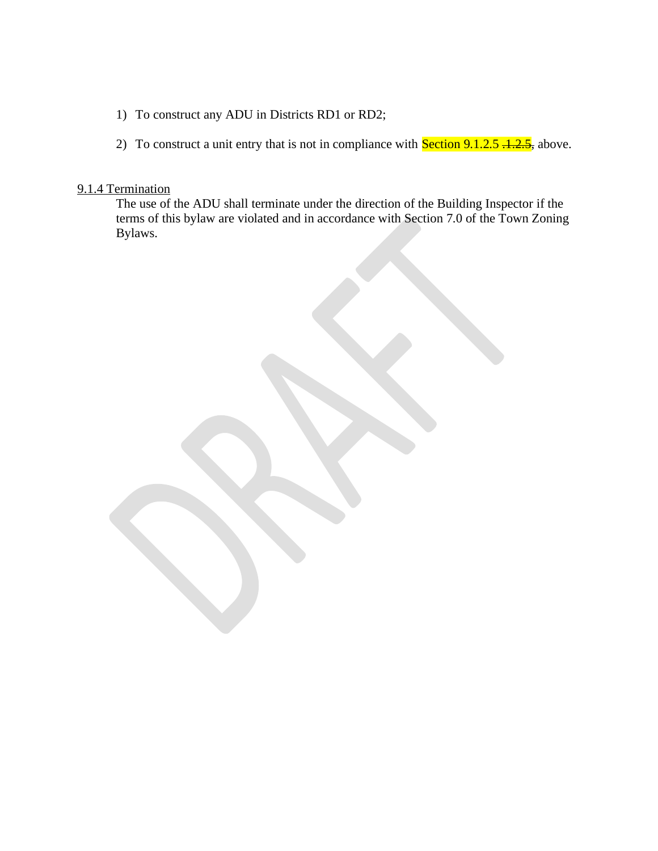- 1) To construct any ADU in Districts RD1 or RD2;
- 2) To construct a unit entry that is not in compliance with **Section 9.1.2.5**  $\div 2.5$ , above.

#### 9.1.4 Termination

The use of the ADU shall terminate under the direction of the Building Inspector if the terms of this bylaw are violated and in accordance with Section 7.0 of the Town Zoning Bylaws.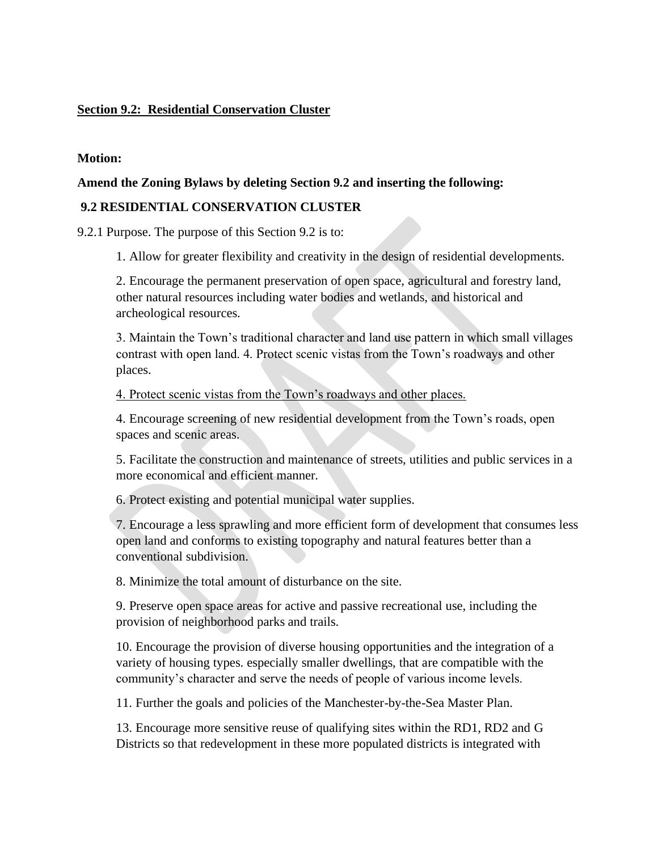## **Section 9.2: Residential Conservation Cluster**

#### **Motion:**

### **Amend the Zoning Bylaws by deleting Section 9.2 and inserting the following:**

### **9.2 RESIDENTIAL CONSERVATION CLUSTER**

9.2.1 Purpose. The purpose of this Section 9.2 is to:

1. Allow for greater flexibility and creativity in the design of residential developments.

2. Encourage the permanent preservation of open space, agricultural and forestry land, other natural resources including water bodies and wetlands, and historical and archeological resources.

3. Maintain the Town's traditional character and land use pattern in which small villages contrast with open land. 4. Protect scenic vistas from the Town's roadways and other places.

4. Protect scenic vistas from the Town's roadways and other places.

4. Encourage screening of new residential development from the Town's roads, open spaces and scenic areas.

5. Facilitate the construction and maintenance of streets, utilities and public services in a more economical and efficient manner.

6. Protect existing and potential municipal water supplies.

7. Encourage a less sprawling and more efficient form of development that consumes less open land and conforms to existing topography and natural features better than a conventional subdivision.

8. Minimize the total amount of disturbance on the site.

9. Preserve open space areas for active and passive recreational use, including the provision of neighborhood parks and trails.

10. Encourage the provision of diverse housing opportunities and the integration of a variety of housing types. especially smaller dwellings, that are compatible with the community's character and serve the needs of people of various income levels.

11. Further the goals and policies of the Manchester-by-the-Sea Master Plan.

13. Encourage more sensitive reuse of qualifying sites within the RD1, RD2 and G Districts so that redevelopment in these more populated districts is integrated with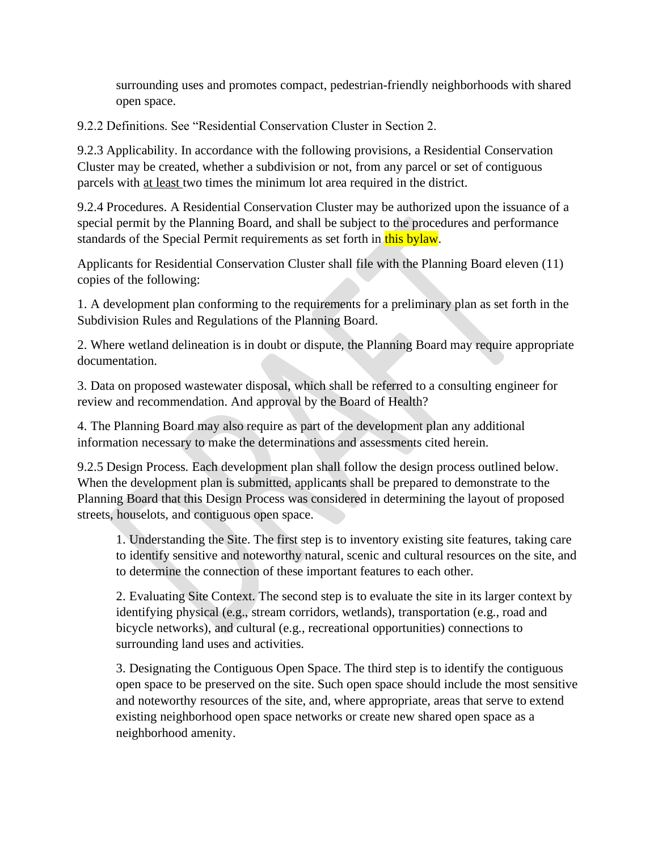surrounding uses and promotes compact, pedestrian-friendly neighborhoods with shared open space.

9.2.2 Definitions. See "Residential Conservation Cluster in Section 2.

9.2.3 Applicability. In accordance with the following provisions, a Residential Conservation Cluster may be created, whether a subdivision or not, from any parcel or set of contiguous parcels with at least two times the minimum lot area required in the district.

9.2.4 Procedures. A Residential Conservation Cluster may be authorized upon the issuance of a special permit by the Planning Board, and shall be subject to the procedures and performance standards of the Special Permit requirements as set forth in this bylaw.

Applicants for Residential Conservation Cluster shall file with the Planning Board eleven (11) copies of the following:

1. A development plan conforming to the requirements for a preliminary plan as set forth in the Subdivision Rules and Regulations of the Planning Board.

2. Where wetland delineation is in doubt or dispute, the Planning Board may require appropriate documentation.

3. Data on proposed wastewater disposal, which shall be referred to a consulting engineer for review and recommendation. And approval by the Board of Health?

4. The Planning Board may also require as part of the development plan any additional information necessary to make the determinations and assessments cited herein.

9.2.5 Design Process. Each development plan shall follow the design process outlined below. When the development plan is submitted, applicants shall be prepared to demonstrate to the Planning Board that this Design Process was considered in determining the layout of proposed streets, houselots, and contiguous open space.

1. Understanding the Site. The first step is to inventory existing site features, taking care to identify sensitive and noteworthy natural, scenic and cultural resources on the site, and to determine the connection of these important features to each other.

2. Evaluating Site Context. The second step is to evaluate the site in its larger context by identifying physical (e.g., stream corridors, wetlands), transportation (e.g., road and bicycle networks), and cultural (e.g., recreational opportunities) connections to surrounding land uses and activities.

3. Designating the Contiguous Open Space. The third step is to identify the contiguous open space to be preserved on the site. Such open space should include the most sensitive and noteworthy resources of the site, and, where appropriate, areas that serve to extend existing neighborhood open space networks or create new shared open space as a neighborhood amenity.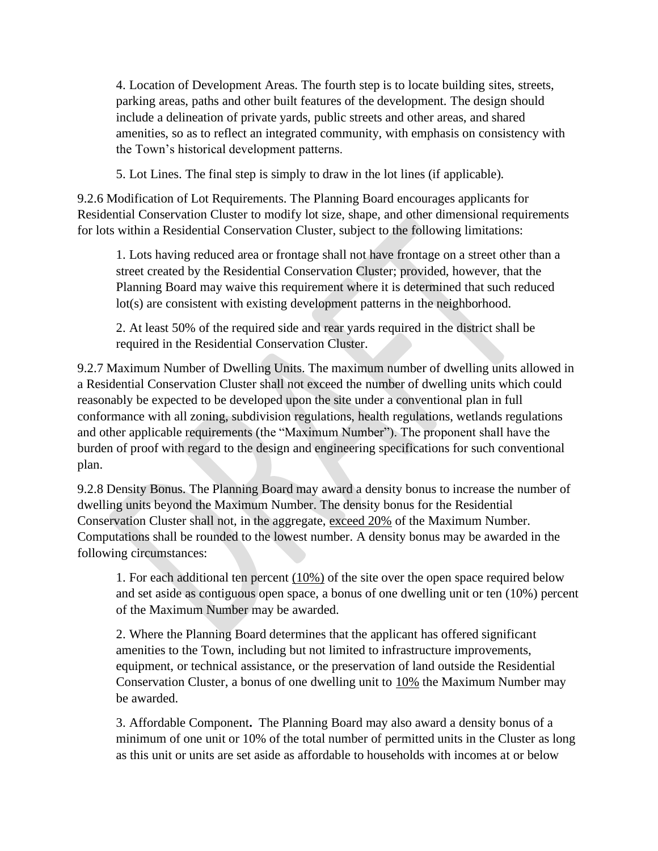4. Location of Development Areas. The fourth step is to locate building sites, streets, parking areas, paths and other built features of the development. The design should include a delineation of private yards, public streets and other areas, and shared amenities, so as to reflect an integrated community, with emphasis on consistency with the Town's historical development patterns.

5. Lot Lines. The final step is simply to draw in the lot lines (if applicable).

9.2.6 Modification of Lot Requirements. The Planning Board encourages applicants for Residential Conservation Cluster to modify lot size, shape, and other dimensional requirements for lots within a Residential Conservation Cluster, subject to the following limitations:

1. Lots having reduced area or frontage shall not have frontage on a street other than a street created by the Residential Conservation Cluster; provided, however, that the Planning Board may waive this requirement where it is determined that such reduced lot(s) are consistent with existing development patterns in the neighborhood.

2. At least 50% of the required side and rear yards required in the district shall be required in the Residential Conservation Cluster.

9.2.7 Maximum Number of Dwelling Units. The maximum number of dwelling units allowed in a Residential Conservation Cluster shall not exceed the number of dwelling units which could reasonably be expected to be developed upon the site under a conventional plan in full conformance with all zoning, subdivision regulations, health regulations, wetlands regulations and other applicable requirements (the "Maximum Number"). The proponent shall have the burden of proof with regard to the design and engineering specifications for such conventional plan.

9.2.8 Density Bonus. The Planning Board may award a density bonus to increase the number of dwelling units beyond the Maximum Number. The density bonus for the Residential Conservation Cluster shall not, in the aggregate, exceed 20% of the Maximum Number. Computations shall be rounded to the lowest number. A density bonus may be awarded in the following circumstances:

1. For each additional ten percent  $(10\%)$  of the site over the open space required below and set aside as contiguous open space, a bonus of one dwelling unit or ten (10%) percent of the Maximum Number may be awarded.

2. Where the Planning Board determines that the applicant has offered significant amenities to the Town, including but not limited to infrastructure improvements, equipment, or technical assistance, or the preservation of land outside the Residential Conservation Cluster, a bonus of one dwelling unit to 10% the Maximum Number may be awarded.

3. Affordable Component**.** The Planning Board may also award a density bonus of a minimum of one unit or 10% of the total number of permitted units in the Cluster as long as this unit or units are set aside as affordable to households with incomes at or below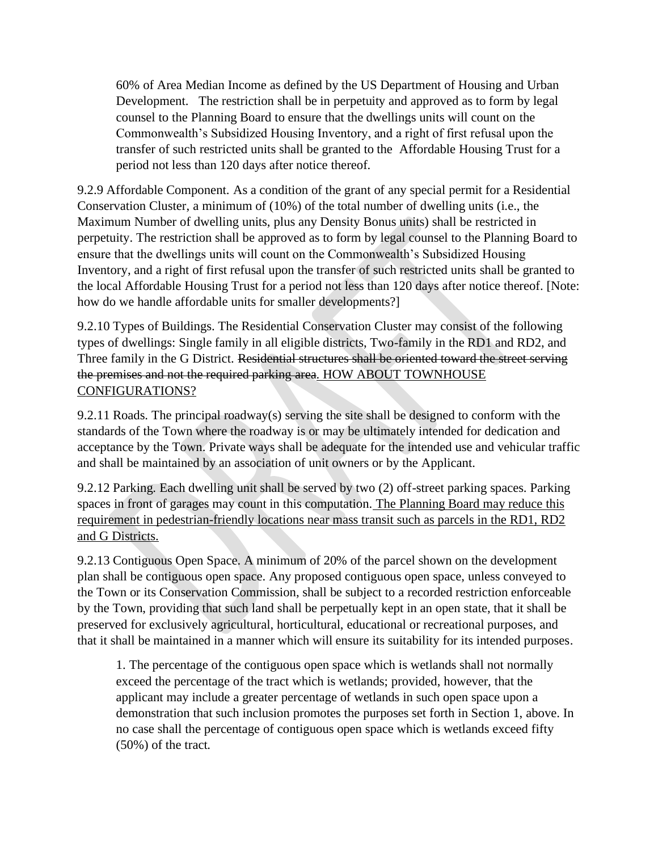60% of Area Median Income as defined by the US Department of Housing and Urban Development. The restriction shall be in perpetuity and approved as to form by legal counsel to the Planning Board to ensure that the dwellings units will count on the Commonwealth's Subsidized Housing Inventory, and a right of first refusal upon the transfer of such restricted units shall be granted to the Affordable Housing Trust for a period not less than 120 days after notice thereof.

9.2.9 Affordable Component. As a condition of the grant of any special permit for a Residential Conservation Cluster, a minimum of (10%) of the total number of dwelling units (i.e., the Maximum Number of dwelling units, plus any Density Bonus units) shall be restricted in perpetuity. The restriction shall be approved as to form by legal counsel to the Planning Board to ensure that the dwellings units will count on the Commonwealth's Subsidized Housing Inventory, and a right of first refusal upon the transfer of such restricted units shall be granted to the local Affordable Housing Trust for a period not less than 120 days after notice thereof. [Note: how do we handle affordable units for smaller developments?]

9.2.10 Types of Buildings. The Residential Conservation Cluster may consist of the following types of dwellings: Single family in all eligible districts, Two-family in the RD1 and RD2, and Three family in the G District. Residential structures shall be oriented toward the street serving the premises and not the required parking area. HOW ABOUT TOWNHOUSE CONFIGURATIONS?

9.2.11 Roads. The principal roadway(s) serving the site shall be designed to conform with the standards of the Town where the roadway is or may be ultimately intended for dedication and acceptance by the Town. Private ways shall be adequate for the intended use and vehicular traffic and shall be maintained by an association of unit owners or by the Applicant.

9.2.12 Parking. Each dwelling unit shall be served by two (2) off-street parking spaces. Parking spaces in front of garages may count in this computation. The Planning Board may reduce this requirement in pedestrian-friendly locations near mass transit such as parcels in the RD1, RD2 and G Districts.

9.2.13 Contiguous Open Space. A minimum of 20% of the parcel shown on the development plan shall be contiguous open space. Any proposed contiguous open space, unless conveyed to the Town or its Conservation Commission, shall be subject to a recorded restriction enforceable by the Town, providing that such land shall be perpetually kept in an open state, that it shall be preserved for exclusively agricultural, horticultural, educational or recreational purposes, and that it shall be maintained in a manner which will ensure its suitability for its intended purposes.

1. The percentage of the contiguous open space which is wetlands shall not normally exceed the percentage of the tract which is wetlands; provided, however, that the applicant may include a greater percentage of wetlands in such open space upon a demonstration that such inclusion promotes the purposes set forth in Section 1, above. In no case shall the percentage of contiguous open space which is wetlands exceed fifty (50%) of the tract.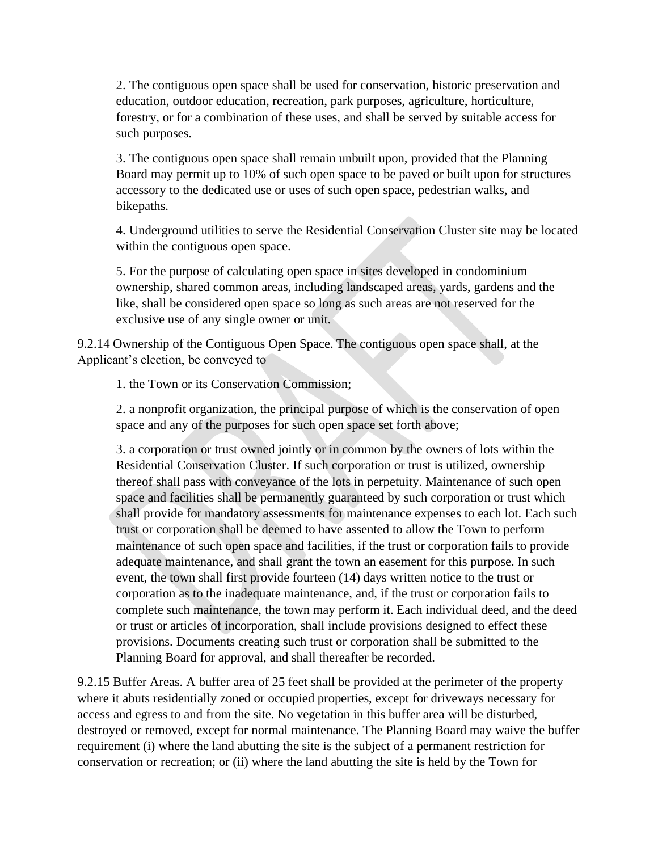2. The contiguous open space shall be used for conservation, historic preservation and education, outdoor education, recreation, park purposes, agriculture, horticulture, forestry, or for a combination of these uses, and shall be served by suitable access for such purposes.

3. The contiguous open space shall remain unbuilt upon, provided that the Planning Board may permit up to 10% of such open space to be paved or built upon for structures accessory to the dedicated use or uses of such open space, pedestrian walks, and bikepaths.

4. Underground utilities to serve the Residential Conservation Cluster site may be located within the contiguous open space.

5. For the purpose of calculating open space in sites developed in condominium ownership, shared common areas, including landscaped areas, yards, gardens and the like, shall be considered open space so long as such areas are not reserved for the exclusive use of any single owner or unit.

9.2.14 Ownership of the Contiguous Open Space. The contiguous open space shall, at the Applicant's election, be conveyed to

1. the Town or its Conservation Commission;

2. a nonprofit organization, the principal purpose of which is the conservation of open space and any of the purposes for such open space set forth above;

3. a corporation or trust owned jointly or in common by the owners of lots within the Residential Conservation Cluster. If such corporation or trust is utilized, ownership thereof shall pass with conveyance of the lots in perpetuity. Maintenance of such open space and facilities shall be permanently guaranteed by such corporation or trust which shall provide for mandatory assessments for maintenance expenses to each lot. Each such trust or corporation shall be deemed to have assented to allow the Town to perform maintenance of such open space and facilities, if the trust or corporation fails to provide adequate maintenance, and shall grant the town an easement for this purpose. In such event, the town shall first provide fourteen (14) days written notice to the trust or corporation as to the inadequate maintenance, and, if the trust or corporation fails to complete such maintenance, the town may perform it. Each individual deed, and the deed or trust or articles of incorporation, shall include provisions designed to effect these provisions. Documents creating such trust or corporation shall be submitted to the Planning Board for approval, and shall thereafter be recorded.

9.2.15 Buffer Areas. A buffer area of 25 feet shall be provided at the perimeter of the property where it abuts residentially zoned or occupied properties, except for driveways necessary for access and egress to and from the site. No vegetation in this buffer area will be disturbed, destroyed or removed, except for normal maintenance. The Planning Board may waive the buffer requirement (i) where the land abutting the site is the subject of a permanent restriction for conservation or recreation; or (ii) where the land abutting the site is held by the Town for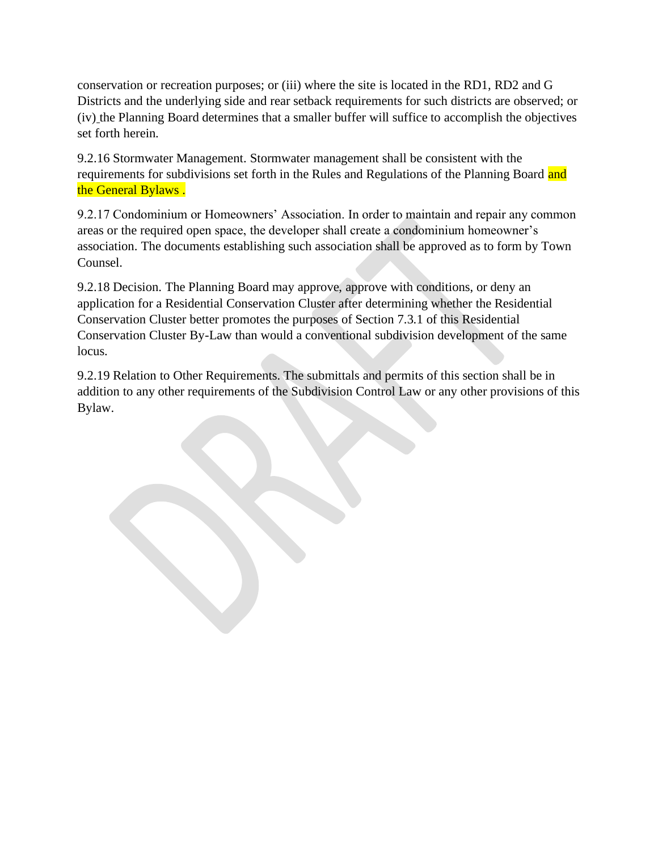conservation or recreation purposes; or (iii) where the site is located in the RD1, RD2 and G Districts and the underlying side and rear setback requirements for such districts are observed; or (iv) the Planning Board determines that a smaller buffer will suffice to accomplish the objectives set forth herein.

9.2.16 Stormwater Management. Stormwater management shall be consistent with the requirements for subdivisions set forth in the Rules and Regulations of the Planning Board and the General Bylaws .

9.2.17 Condominium or Homeowners' Association. In order to maintain and repair any common areas or the required open space, the developer shall create a condominium homeowner's association. The documents establishing such association shall be approved as to form by Town Counsel.

9.2.18 Decision. The Planning Board may approve, approve with conditions, or deny an application for a Residential Conservation Cluster after determining whether the Residential Conservation Cluster better promotes the purposes of Section 7.3.1 of this Residential Conservation Cluster By-Law than would a conventional subdivision development of the same locus.

9.2.19 Relation to Other Requirements. The submittals and permits of this section shall be in addition to any other requirements of the Subdivision Control Law or any other provisions of this Bylaw.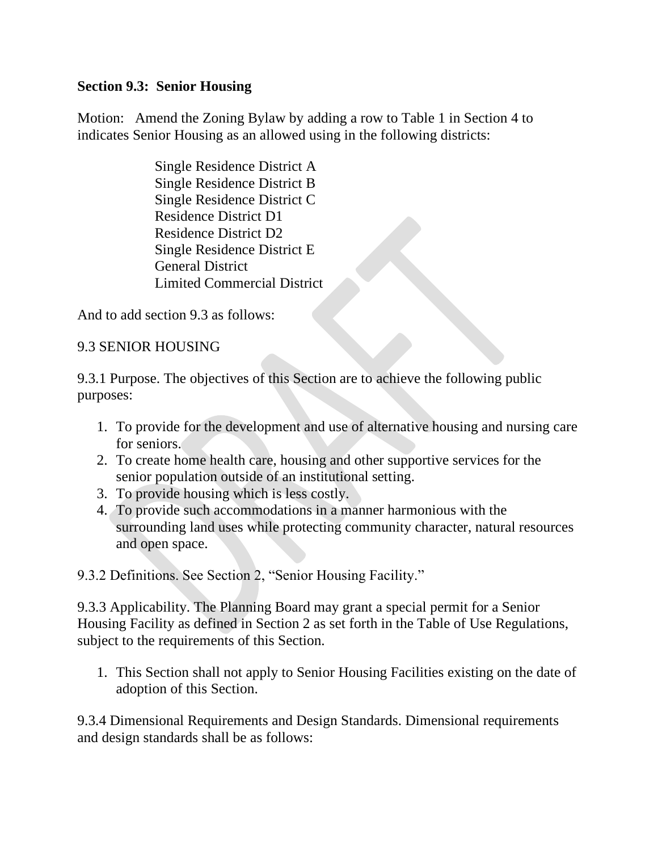# **Section 9.3: Senior Housing**

Motion: Amend the Zoning Bylaw by adding a row to Table 1 in Section 4 to indicates Senior Housing as an allowed using in the following districts:

> Single Residence District A Single Residence District B Single Residence District C Residence District D1 Residence District D2 Single Residence District E General District Limited Commercial District

And to add section 9.3 as follows:

# 9.3 SENIOR HOUSING

9.3.1 Purpose. The objectives of this Section are to achieve the following public purposes:

- 1. To provide for the development and use of alternative housing and nursing care for seniors.
- 2. To create home health care, housing and other supportive services for the senior population outside of an institutional setting.
- 3. To provide housing which is less costly.
- 4. To provide such accommodations in a manner harmonious with the surrounding land uses while protecting community character, natural resources and open space.

9.3.2 Definitions. See Section 2, "Senior Housing Facility."

9.3.3 Applicability. The Planning Board may grant a special permit for a Senior Housing Facility as defined in Section 2 as set forth in the Table of Use Regulations, subject to the requirements of this Section.

1. This Section shall not apply to Senior Housing Facilities existing on the date of adoption of this Section.

9.3.4 Dimensional Requirements and Design Standards. Dimensional requirements and design standards shall be as follows: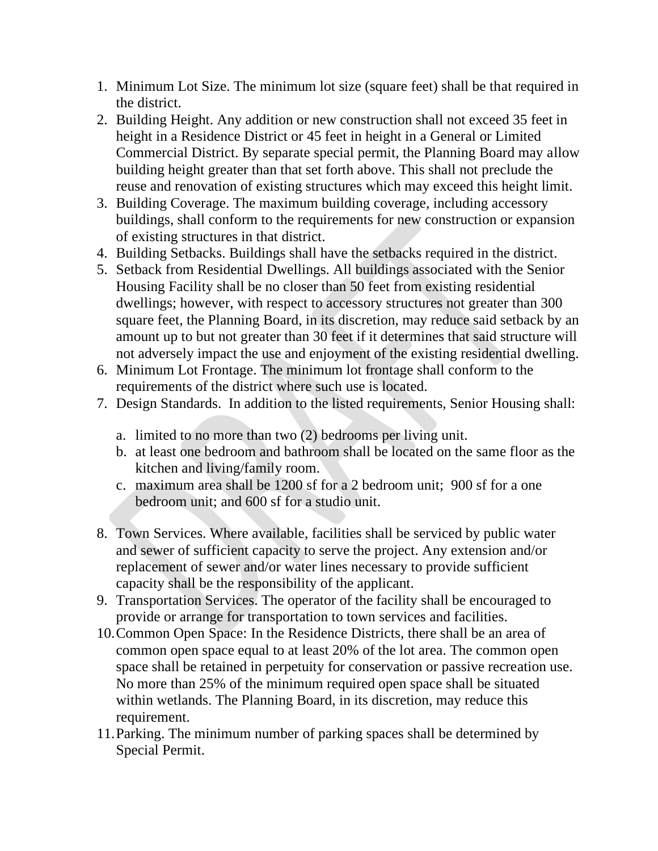- 1. Minimum Lot Size. The minimum lot size (square feet) shall be that required in the district.
- 2. Building Height. Any addition or new construction shall not exceed 35 feet in height in a Residence District or 45 feet in height in a General or Limited Commercial District. By separate special permit, the Planning Board may allow building height greater than that set forth above. This shall not preclude the reuse and renovation of existing structures which may exceed this height limit.
- 3. Building Coverage. The maximum building coverage, including accessory buildings, shall conform to the requirements for new construction or expansion of existing structures in that district.
- 4. Building Setbacks. Buildings shall have the setbacks required in the district.
- 5. Setback from Residential Dwellings. All buildings associated with the Senior Housing Facility shall be no closer than 50 feet from existing residential dwellings; however, with respect to accessory structures not greater than 300 square feet, the Planning Board, in its discretion, may reduce said setback by an amount up to but not greater than 30 feet if it determines that said structure will not adversely impact the use and enjoyment of the existing residential dwelling.
- 6. Minimum Lot Frontage. The minimum lot frontage shall conform to the requirements of the district where such use is located.
- 7. Design Standards. In addition to the listed requirements, Senior Housing shall:
	- a. limited to no more than two (2) bedrooms per living unit.
	- b. at least one bedroom and bathroom shall be located on the same floor as the kitchen and living/family room.
	- c. maximum area shall be 1200 sf for a 2 bedroom unit; 900 sf for a one bedroom unit; and 600 sf for a studio unit.
- 8. Town Services. Where available, facilities shall be serviced by public water and sewer of sufficient capacity to serve the project. Any extension and/or replacement of sewer and/or water lines necessary to provide sufficient capacity shall be the responsibility of the applicant.
- 9. Transportation Services. The operator of the facility shall be encouraged to provide or arrange for transportation to town services and facilities.
- 10.Common Open Space: In the Residence Districts, there shall be an area of common open space equal to at least 20% of the lot area. The common open space shall be retained in perpetuity for conservation or passive recreation use. No more than 25% of the minimum required open space shall be situated within wetlands. The Planning Board, in its discretion, may reduce this requirement.
- 11.Parking. The minimum number of parking spaces shall be determined by Special Permit.